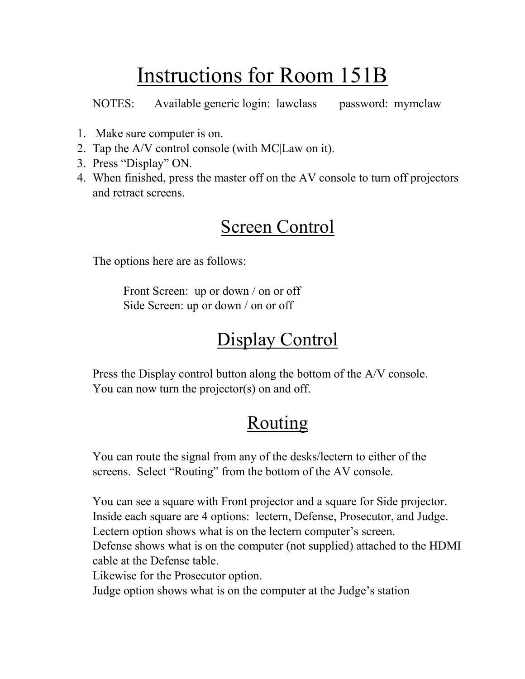# Instructions for Room 151B

NOTES: Available generic login: lawclass password: mymclaw

- 1. Make sure computer is on.
- 2. Tap the A/V control console (with MC|Law on it).
- 3. Press "Display" ON.
- 4. When finished, press the master off on the AV console to turn off projectors and retract screens.

#### Screen Control

The options here are as follows:

Front Screen: up or down / on or off Side Screen: up or down / on or off

#### Display Control

Press the Display control button along the bottom of the A/V console. You can now turn the projector(s) on and off.

### Routing

You can route the signal from any of the desks/lectern to either of the screens. Select "Routing" from the bottom of the AV console.

You can see a square with Front projector and a square for Side projector. Inside each square are 4 options: lectern, Defense, Prosecutor, and Judge. Lectern option shows what is on the lectern computer's screen. Defense shows what is on the computer (not supplied) attached to the HDMI

cable at the Defense table.

Likewise for the Prosecutor option.

Judge option shows what is on the computer at the Judge's station